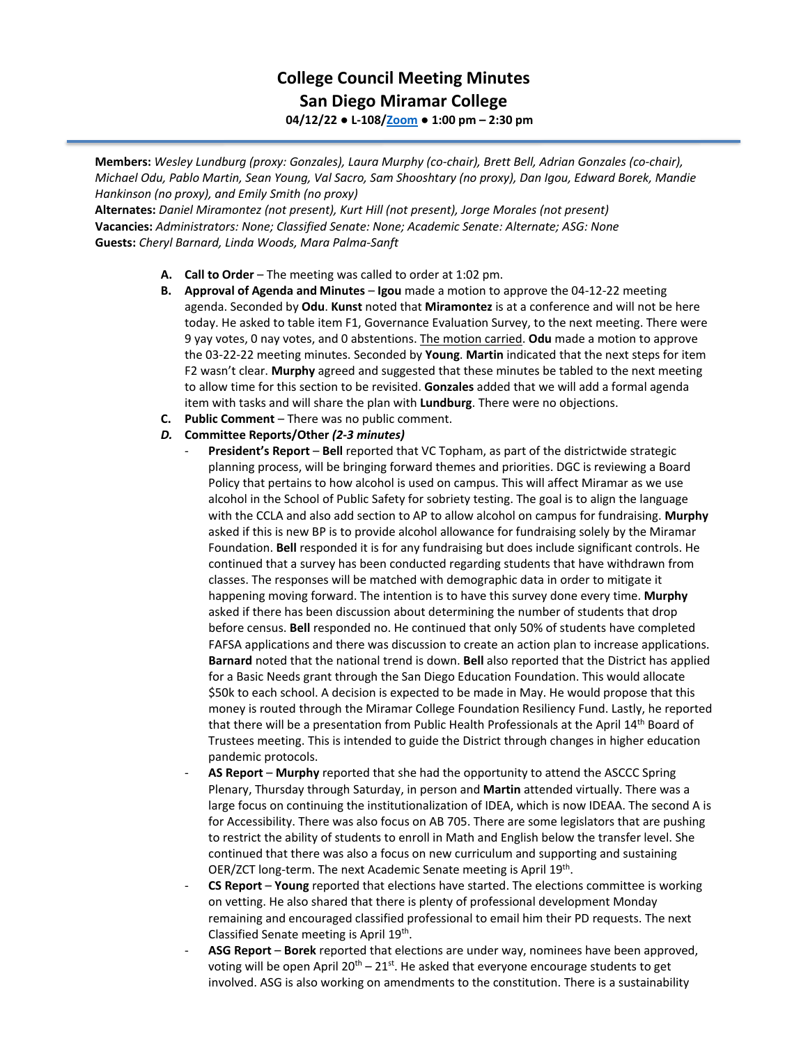## **College Council Meeting Minutes San Diego Miramar College 04/12/22 ● L-108[/Zoom](https://cccconfer.zoom.us/j/92354948089?pwd=clQvQ3pSdi84K2xTSnVLN1UyOXhpQT09) ● 1:00 pm – 2:30 pm**

**Members:** *Wesley Lundburg (proxy: Gonzales), Laura Murphy (co-chair), Brett Bell, Adrian Gonzales (co-chair), Michael Odu, Pablo Martin, Sean Young, Val Sacro, Sam Shooshtary (no proxy), Dan Igou, Edward Borek, Mandie Hankinson (no proxy), and Emily Smith (no proxy)*

**Alternates:** *Daniel Miramontez (not present), Kurt Hill (not present), Jorge Morales (not present)* **Vacancies:** *Administrators: None; Classified Senate: None; Academic Senate: Alternate; ASG: None* **Guests:** *Cheryl Barnard, Linda Woods, Mara Palma-Sanft*

- **A. Call to Order** The meeting was called to order at 1:02 pm.
- **B. Approval of Agenda and Minutes Igou** made a motion to approve the 04-12-22 meeting agenda. Seconded by **Odu**. **Kunst** noted that **Miramontez** is at a conference and will not be here today. He asked to table item F1, Governance Evaluation Survey, to the next meeting. There were 9 yay votes, 0 nay votes, and 0 abstentions. The motion carried. **Odu** made a motion to approve the 03-22-22 meeting minutes. Seconded by **Young**. **Martin** indicated that the next steps for item F2 wasn't clear. **Murphy** agreed and suggested that these minutes be tabled to the next meeting to allow time for this section to be revisited. **Gonzales** added that we will add a formal agenda item with tasks and will share the plan with **Lundburg**. There were no objections.
- **C. Public Comment**  There was no public comment.
- *D.* **Committee Reports/Other** *(2-3 minutes)*
	- President's Report Bell reported that VC Topham, as part of the districtwide strategic planning process, will be bringing forward themes and priorities. DGC is reviewing a Board Policy that pertains to how alcohol is used on campus. This will affect Miramar as we use alcohol in the School of Public Safety for sobriety testing. The goal is to align the language with the CCLA and also add section to AP to allow alcohol on campus for fundraising. **Murphy** asked if this is new BP is to provide alcohol allowance for fundraising solely by the Miramar Foundation. **Bell** responded it is for any fundraising but does include significant controls. He continued that a survey has been conducted regarding students that have withdrawn from classes. The responses will be matched with demographic data in order to mitigate it happening moving forward. The intention is to have this survey done every time. **Murphy** asked if there has been discussion about determining the number of students that drop before census. **Bell** responded no. He continued that only 50% of students have completed FAFSA applications and there was discussion to create an action plan to increase applications. **Barnard** noted that the national trend is down. **Bell** also reported that the District has applied for a Basic Needs grant through the San Diego Education Foundation. This would allocate \$50k to each school. A decision is expected to be made in May. He would propose that this money is routed through the Miramar College Foundation Resiliency Fund. Lastly, he reported that there will be a presentation from Public Health Professionals at the April 14<sup>th</sup> Board of Trustees meeting. This is intended to guide the District through changes in higher education pandemic protocols.
	- AS Report Murphy reported that she had the opportunity to attend the ASCCC Spring Plenary, Thursday through Saturday, in person and **Martin** attended virtually. There was a large focus on continuing the institutionalization of IDEA, which is now IDEAA. The second A is for Accessibility. There was also focus on AB 705. There are some legislators that are pushing to restrict the ability of students to enroll in Math and English below the transfer level. She continued that there was also a focus on new curriculum and supporting and sustaining OER/ZCT long-term. The next Academic Senate meeting is April 19<sup>th</sup>.
	- **CS Report Young** reported that elections have started. The elections committee is working on vetting. He also shared that there is plenty of professional development Monday remaining and encouraged classified professional to email him their PD requests. The next Classified Senate meeting is April 19th.
	- **ASG Report Borek** reported that elections are under way, nominees have been approved, voting will be open April  $20^{th} - 21^{st}$ . He asked that everyone encourage students to get involved. ASG is also working on amendments to the constitution. There is a sustainability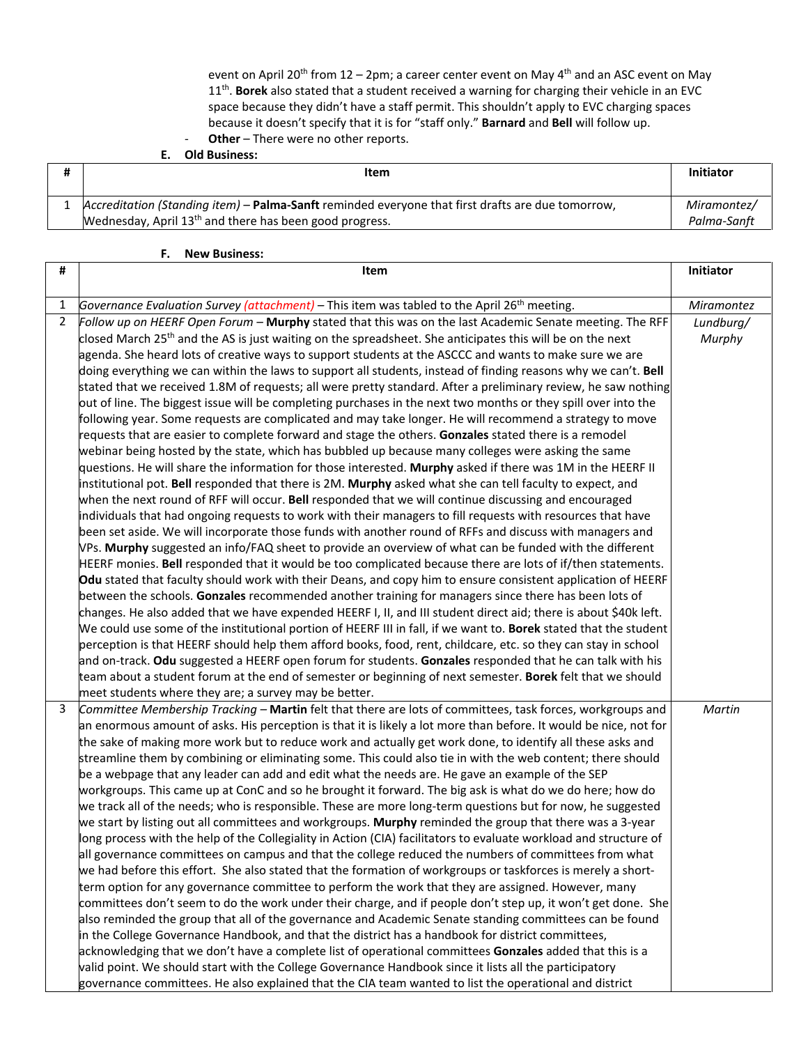event on April 20<sup>th</sup> from 12 – 2pm; a career center event on May 4<sup>th</sup> and an ASC event on May 11th. **Borek** also stated that a student received a warning for charging their vehicle in an EVC space because they didn't have a staff permit. This shouldn't apply to EVC charging spaces because it doesn't specify that it is for "staff only." **Barnard** and **Bell** will follow up. - **Other** – There were no other reports.

**E. Old Business:**

| Item                                                                                                                                                                     | <b>Initiator</b>           |
|--------------------------------------------------------------------------------------------------------------------------------------------------------------------------|----------------------------|
| Accreditation (Standing item) - Palma-Sanft reminded everyone that first drafts are due tomorrow,<br>Wednesday, April 13 <sup>th</sup> and there has been good progress. | Miramontez/<br>Palma-Sanft |

## **F. New Business:**

| #              | Item                                                                                                                                                                                                                   | Initiator  |
|----------------|------------------------------------------------------------------------------------------------------------------------------------------------------------------------------------------------------------------------|------------|
| 1              | Governance Evaluation Survey (attachment) - This item was tabled to the April 26 <sup>th</sup> meeting.                                                                                                                | Miramontez |
| $\overline{2}$ | Follow up on HEERF Open Forum - Murphy stated that this was on the last Academic Senate meeting. The RFF                                                                                                               | Lundburg/  |
|                | closed March 25 <sup>th</sup> and the AS is just waiting on the spreadsheet. She anticipates this will be on the next                                                                                                  | Murphy     |
|                | agenda. She heard lots of creative ways to support students at the ASCCC and wants to make sure we are                                                                                                                 |            |
|                | doing everything we can within the laws to support all students, instead of finding reasons why we can't. Bell                                                                                                         |            |
|                | stated that we received 1.8M of requests; all were pretty standard. After a preliminary review, he saw nothing                                                                                                         |            |
|                | out of line. The biggest issue will be completing purchases in the next two months or they spill over into the                                                                                                         |            |
|                | following year. Some requests are complicated and may take longer. He will recommend a strategy to move                                                                                                                |            |
|                | requests that are easier to complete forward and stage the others. Gonzales stated there is a remodel                                                                                                                  |            |
|                | webinar being hosted by the state, which has bubbled up because many colleges were asking the same                                                                                                                     |            |
|                | questions. He will share the information for those interested. Murphy asked if there was 1M in the HEERF II                                                                                                            |            |
|                | institutional pot. Bell responded that there is 2M. Murphy asked what she can tell faculty to expect, and                                                                                                              |            |
|                | when the next round of RFF will occur. Bell responded that we will continue discussing and encouraged                                                                                                                  |            |
|                | individuals that had ongoing requests to work with their managers to fill requests with resources that have                                                                                                            |            |
|                | been set aside. We will incorporate those funds with another round of RFFs and discuss with managers and                                                                                                               |            |
|                | VPs. Murphy suggested an info/FAQ sheet to provide an overview of what can be funded with the different<br>HEERF monies. Bell responded that it would be too complicated because there are lots of if/then statements. |            |
|                | Odu stated that faculty should work with their Deans, and copy him to ensure consistent application of HEERF                                                                                                           |            |
|                | between the schools. Gonzales recommended another training for managers since there has been lots of                                                                                                                   |            |
|                | changes. He also added that we have expended HEERF I, II, and III student direct aid; there is about \$40k left.                                                                                                       |            |
|                | We could use some of the institutional portion of HEERF III in fall, if we want to. Borek stated that the student                                                                                                      |            |
|                | perception is that HEERF should help them afford books, food, rent, childcare, etc. so they can stay in school                                                                                                         |            |
|                | and on-track. Odu suggested a HEERF open forum for students. Gonzales responded that he can talk with his                                                                                                              |            |
|                | team about a student forum at the end of semester or beginning of next semester. Borek felt that we should                                                                                                             |            |
|                | meet students where they are; a survey may be better.                                                                                                                                                                  |            |
| 3              | Committee Membership Tracking - Martin felt that there are lots of committees, task forces, workgroups and                                                                                                             | Martin     |
|                | an enormous amount of asks. His perception is that it is likely a lot more than before. It would be nice, not for                                                                                                      |            |
|                | the sake of making more work but to reduce work and actually get work done, to identify all these asks and                                                                                                             |            |
|                | streamline them by combining or eliminating some. This could also tie in with the web content; there should                                                                                                            |            |
|                | be a webpage that any leader can add and edit what the needs are. He gave an example of the SEP                                                                                                                        |            |
|                | workgroups. This came up at ConC and so he brought it forward. The big ask is what do we do here; how do                                                                                                               |            |
|                | we track all of the needs; who is responsible. These are more long-term questions but for now, he suggested                                                                                                            |            |
|                | we start by listing out all committees and workgroups. Murphy reminded the group that there was a 3-year                                                                                                               |            |
|                | long process with the help of the Collegiality in Action (CIA) facilitators to evaluate workload and structure of                                                                                                      |            |
|                | all governance committees on campus and that the college reduced the numbers of committees from what<br>we had before this effort. She also stated that the formation of workgroups or taskforces is merely a short-   |            |
|                | term option for any governance committee to perform the work that they are assigned. However, many                                                                                                                     |            |
|                | committees don't seem to do the work under their charge, and if people don't step up, it won't get done. She                                                                                                           |            |
|                | also reminded the group that all of the governance and Academic Senate standing committees can be found                                                                                                                |            |
|                | in the College Governance Handbook, and that the district has a handbook for district committees,                                                                                                                      |            |
|                | acknowledging that we don't have a complete list of operational committees Gonzales added that this is a                                                                                                               |            |
|                | valid point. We should start with the College Governance Handbook since it lists all the participatory                                                                                                                 |            |
|                | governance committees. He also explained that the CIA team wanted to list the operational and district                                                                                                                 |            |